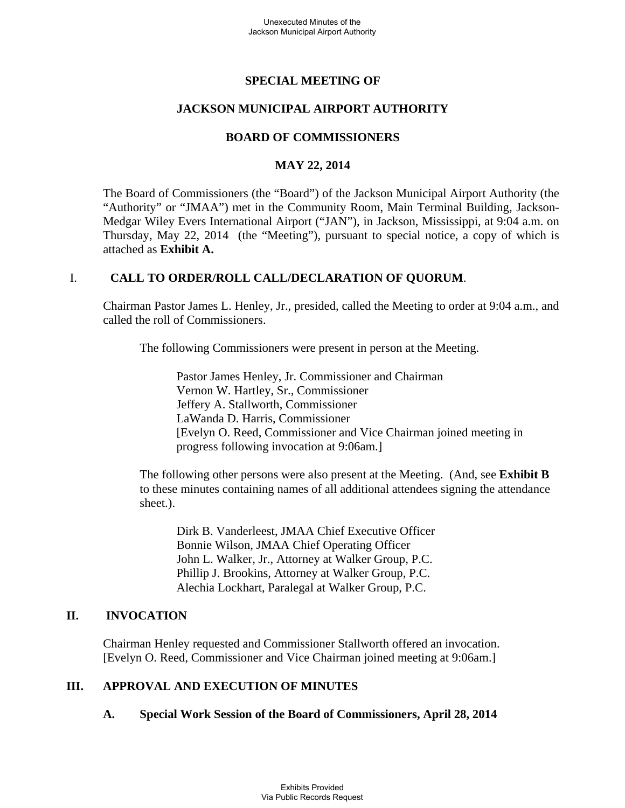# **SPECIAL MEETING OF**

# **JACKSON MUNICIPAL AIRPORT AUTHORITY**

### **BOARD OF COMMISSIONERS**

### **MAY 22, 2014**

The Board of Commissioners (the "Board") of the Jackson Municipal Airport Authority (the "Authority" or "JMAA") met in the Community Room, Main Terminal Building, Jackson-Medgar Wiley Evers International Airport ("JAN"), in Jackson, Mississippi, at 9:04 a.m. on Thursday, May 22, 2014 (the "Meeting"), pursuant to special notice, a copy of which is attached as **Exhibit A.**

### I. **CALL TO ORDER/ROLL CALL/DECLARATION OF QUORUM**.

Chairman Pastor James L. Henley, Jr., presided, called the Meeting to order at 9:04 a.m., and called the roll of Commissioners.

The following Commissioners were present in person at the Meeting.

Pastor James Henley, Jr. Commissioner and Chairman Vernon W. Hartley, Sr., Commissioner Jeffery A. Stallworth, Commissioner LaWanda D. Harris, Commissioner [Evelyn O. Reed, Commissioner and Vice Chairman joined meeting in progress following invocation at 9:06am.]

 The following other persons were also present at the Meeting. (And, see **Exhibit B**  to these minutes containing names of all additional attendees signing the attendance sheet.).

Dirk B. Vanderleest, JMAA Chief Executive Officer Bonnie Wilson, JMAA Chief Operating Officer John L. Walker, Jr., Attorney at Walker Group, P.C. Phillip J. Brookins, Attorney at Walker Group, P.C. Alechia Lockhart, Paralegal at Walker Group, P.C.

#### **II. INVOCATION**

Chairman Henley requested and Commissioner Stallworth offered an invocation. [Evelyn O. Reed, Commissioner and Vice Chairman joined meeting at 9:06am.]

# **III. APPROVAL AND EXECUTION OF MINUTES**

#### **A. Special Work Session of the Board of Commissioners, April 28, 2014**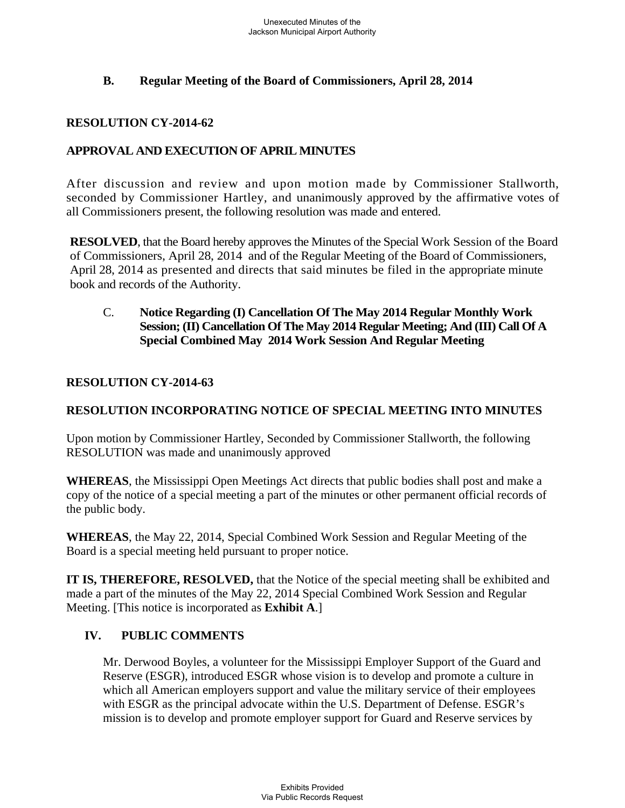# **B. Regular Meeting of the Board of Commissioners, April 28, 2014**

### **RESOLUTION CY-2014-62**

# **APPROVAL AND EXECUTION OF APRIL MINUTES**

After discussion and review and upon motion made by Commissioner Stallworth, seconded by Commissioner Hartley, and unanimously approved by the affirmative votes of all Commissioners present, the following resolution was made and entered.

**RESOLVED**, that the Board hereby approves the Minutes of the Special Work Session of the Board of Commissioners, April 28, 2014 and of the Regular Meeting of the Board of Commissioners, April 28, 2014 as presented and directs that said minutes be filed in the appropriate minute book and records of the Authority.

### C. **Notice Regarding (I) Cancellation Of The May 2014 Regular Monthly Work Session; (II) Cancellation Of The May 2014 Regular Meeting; And (III) Call Of A Special Combined May 2014 Work Session And Regular Meeting**

### **RESOLUTION CY-2014-63**

### **RESOLUTION INCORPORATING NOTICE OF SPECIAL MEETING INTO MINUTES**

Upon motion by Commissioner Hartley, Seconded by Commissioner Stallworth, the following RESOLUTION was made and unanimously approved

**WHEREAS**, the Mississippi Open Meetings Act directs that public bodies shall post and make a copy of the notice of a special meeting a part of the minutes or other permanent official records of the public body.

**WHEREAS**, the May 22, 2014, Special Combined Work Session and Regular Meeting of the Board is a special meeting held pursuant to proper notice.

**IT IS, THEREFORE, RESOLVED,** that the Notice of the special meeting shall be exhibited and made a part of the minutes of the May 22, 2014 Special Combined Work Session and Regular Meeting. [This notice is incorporated as **Exhibit A**.]

# **IV. PUBLIC COMMENTS**

Mr. Derwood Boyles, a volunteer for the Mississippi Employer Support of the Guard and Reserve (ESGR), introduced ESGR whose vision is to develop and promote a culture in which all American employers support and value the military service of their employees with ESGR as the principal advocate within the U.S. Department of Defense. ESGR's mission is to develop and promote employer support for Guard and Reserve services by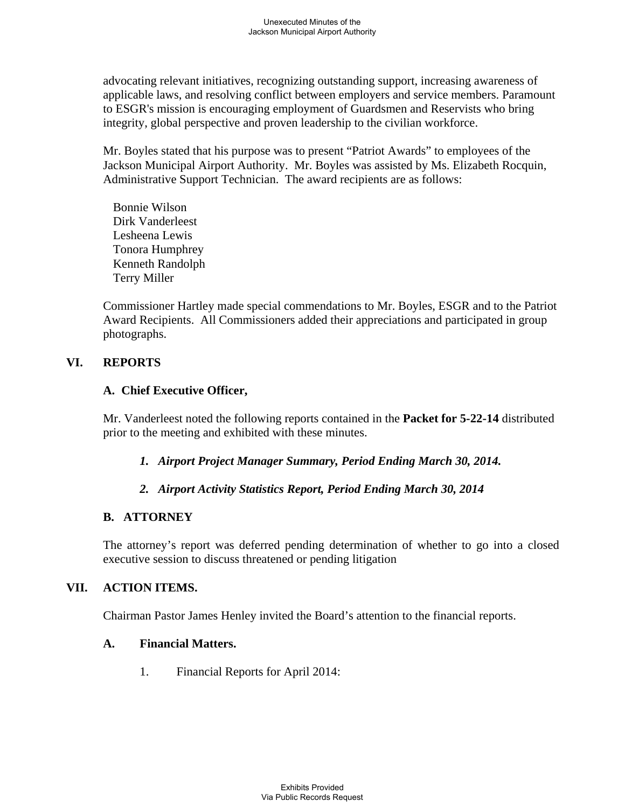advocating relevant initiatives, recognizing outstanding support, increasing awareness of applicable laws, and resolving conflict between employers and service members. Paramount to ESGR's mission is encouraging employment of Guardsmen and Reservists who bring integrity, global perspective and proven leadership to the civilian workforce.

Mr. Boyles stated that his purpose was to present "Patriot Awards" to employees of the Jackson Municipal Airport Authority. Mr. Boyles was assisted by Ms. Elizabeth Rocquin, Administrative Support Technician. The award recipients are as follows:

 Bonnie Wilson Dirk Vanderleest Lesheena Lewis Tonora Humphrey Kenneth Randolph Terry Miller

Commissioner Hartley made special commendations to Mr. Boyles, ESGR and to the Patriot Award Recipients. All Commissioners added their appreciations and participated in group photographs.

# **VI. REPORTS**

# **A. Chief Executive Officer,**

Mr. Vanderleest noted the following reports contained in the **Packet for 5-22-14** distributed prior to the meeting and exhibited with these minutes.

- *1. Airport Project Manager Summary, Period Ending March 30, 2014.*
- *2. Airport Activity Statistics Report, Period Ending March 30, 2014*

# **B. ATTORNEY**

The attorney's report was deferred pending determination of whether to go into a closed executive session to discuss threatened or pending litigation

# **VII. ACTION ITEMS.**

Chairman Pastor James Henley invited the Board's attention to the financial reports.

# **A. Financial Matters.**

1. Financial Reports for April 2014: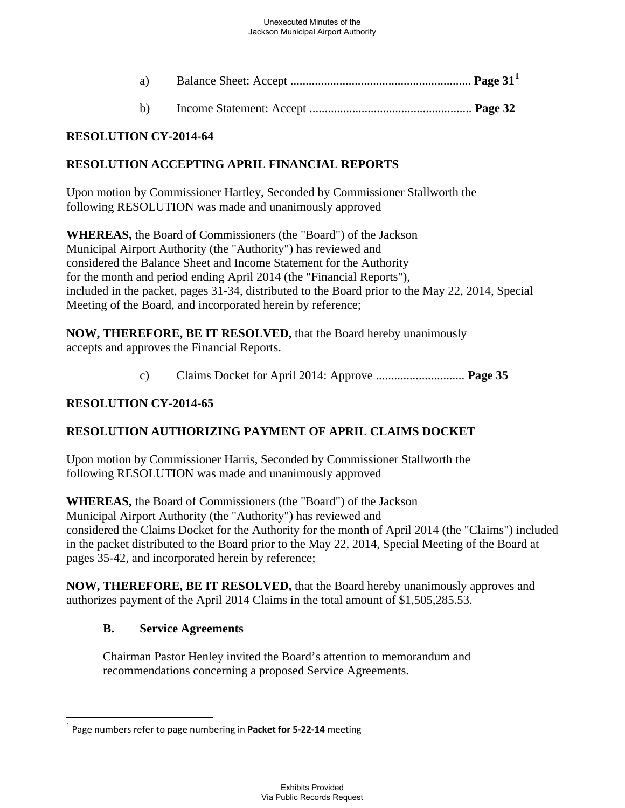| a)           |  |
|--------------|--|
| $\mathbf{b}$ |  |

### **RESOLUTION CY-2014-64**

### **RESOLUTION ACCEPTING APRIL FINANCIAL REPORTS**

Upon motion by Commissioner Hartley, Seconded by Commissioner Stallworth the following RESOLUTION was made and unanimously approved

**WHEREAS,** the Board of Commissioners (the "Board") of the Jackson Municipal Airport Authority (the "Authority") has reviewed and considered the Balance Sheet and Income Statement for the Authority for the month and period ending April 2014 (the "Financial Reports"), included in the packet, pages 31-34, distributed to the Board prior to the May 22, 2014, Special Meeting of the Board, and incorporated herein by reference;

**NOW, THEREFORE, BE IT RESOLVED,** that the Board hereby unanimously accepts and approves the Financial Reports.

c) Claims Docket for April 2014: Approve ............................. **Page 35** 

### **RESOLUTION CY-2014-65**

# **RESOLUTION AUTHORIZING PAYMENT OF APRIL CLAIMS DOCKET**

Upon motion by Commissioner Harris, Seconded by Commissioner Stallworth the following RESOLUTION was made and unanimously approved

**WHEREAS,** the Board of Commissioners (the "Board") of the Jackson Municipal Airport Authority (the "Authority") has reviewed and considered the Claims Docket for the Authority for the month of April 2014 (the "Claims") included in the packet distributed to the Board prior to the May 22, 2014, Special Meeting of the Board at pages 35-42, and incorporated herein by reference;

**NOW, THEREFORE, BE IT RESOLVED,** that the Board hereby unanimously approves and authorizes payment of the April 2014 Claims in the total amount of \$1,505,285.53.

#### **B. Service Agreements**

Chairman Pastor Henley invited the Board's attention to memorandum and recommendations concerning a proposed Service Agreements.

<span id="page-3-0"></span><sup>1</sup> Page numbers refer to page numbering in **Packet for 5‐22‐14** meeting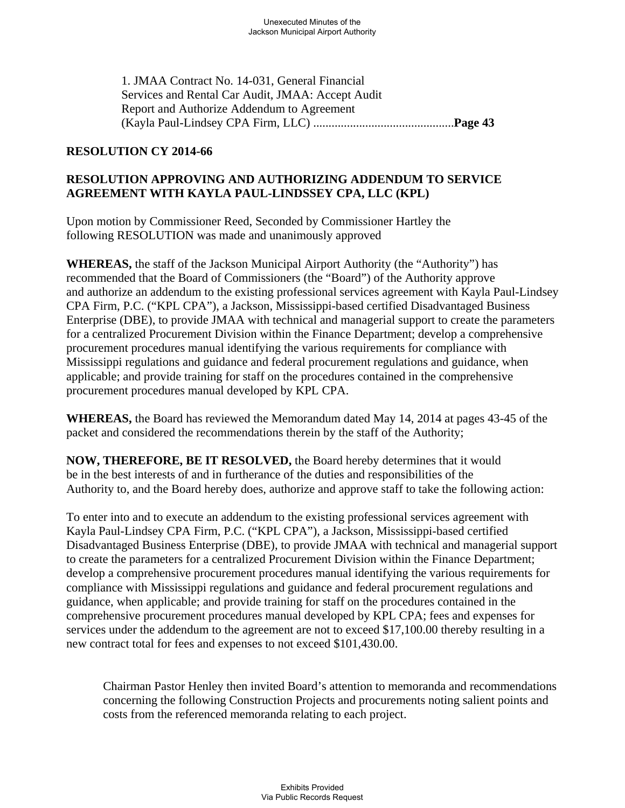1. JMAA Contract No. 14-031, General Financial Services and Rental Car Audit, JMAA: Accept Audit Report and Authorize Addendum to Agreement (Kayla Paul-Lindsey CPA Firm, LLC) ..............................................**Page 43** 

### **RESOLUTION CY 2014-66**

# **RESOLUTION APPROVING AND AUTHORIZING ADDENDUM TO SERVICE AGREEMENT WITH KAYLA PAUL-LINDSSEY CPA, LLC (KPL)**

Upon motion by Commissioner Reed, Seconded by Commissioner Hartley the following RESOLUTION was made and unanimously approved

**WHEREAS,** the staff of the Jackson Municipal Airport Authority (the "Authority") has recommended that the Board of Commissioners (the "Board") of the Authority approve and authorize an addendum to the existing professional services agreement with Kayla Paul-Lindsey CPA Firm, P.C. ("KPL CPA"), a Jackson, Mississippi-based certified Disadvantaged Business Enterprise (DBE), to provide JMAA with technical and managerial support to create the parameters for a centralized Procurement Division within the Finance Department; develop a comprehensive procurement procedures manual identifying the various requirements for compliance with Mississippi regulations and guidance and federal procurement regulations and guidance, when applicable; and provide training for staff on the procedures contained in the comprehensive procurement procedures manual developed by KPL CPA.

**WHEREAS,** the Board has reviewed the Memorandum dated May 14, 2014 at pages 43-45 of the packet and considered the recommendations therein by the staff of the Authority;

**NOW, THEREFORE, BE IT RESOLVED,** the Board hereby determines that it would be in the best interests of and in furtherance of the duties and responsibilities of the Authority to, and the Board hereby does, authorize and approve staff to take the following action:

To enter into and to execute an addendum to the existing professional services agreement with Kayla Paul-Lindsey CPA Firm, P.C. ("KPL CPA"), a Jackson, Mississippi-based certified Disadvantaged Business Enterprise (DBE), to provide JMAA with technical and managerial support to create the parameters for a centralized Procurement Division within the Finance Department; develop a comprehensive procurement procedures manual identifying the various requirements for compliance with Mississippi regulations and guidance and federal procurement regulations and guidance, when applicable; and provide training for staff on the procedures contained in the comprehensive procurement procedures manual developed by KPL CPA; fees and expenses for services under the addendum to the agreement are not to exceed \$17,100.00 thereby resulting in a new contract total for fees and expenses to not exceed \$101,430.00.

Chairman Pastor Henley then invited Board's attention to memoranda and recommendations concerning the following Construction Projects and procurements noting salient points and costs from the referenced memoranda relating to each project.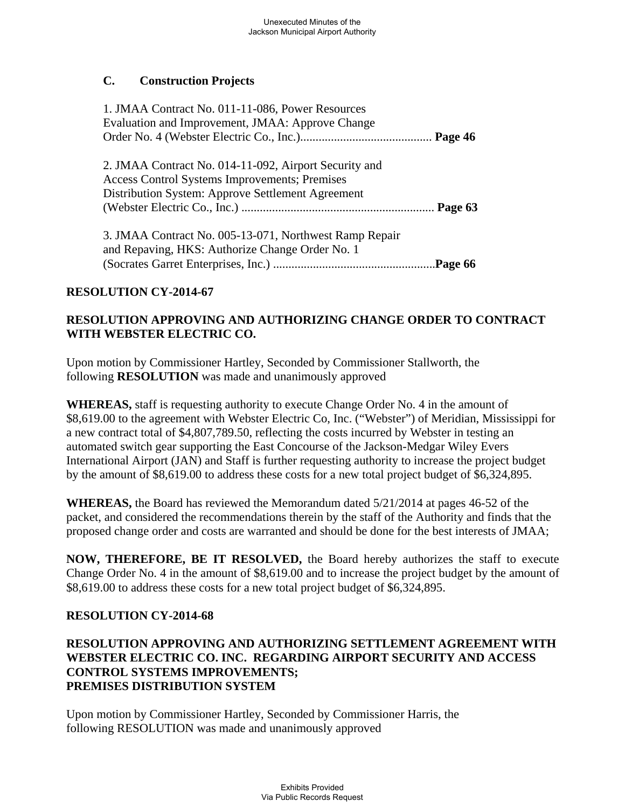# **C. Construction Projects**

| 1. JMAA Contract No. 011-11-086, Power Resources<br>Evaluation and Improvement, JMAA: Approve Change                                                        |  |
|-------------------------------------------------------------------------------------------------------------------------------------------------------------|--|
| 2. JMAA Contract No. 014-11-092, Airport Security and<br>Access Control Systems Improvements; Premises<br>Distribution System: Approve Settlement Agreement |  |
| 3. JMAA Contract No. 005-13-071, Northwest Ramp Repair<br>and Repaving, HKS: Authorize Change Order No. 1                                                   |  |

# **RESOLUTION CY-2014-67**

# **RESOLUTION APPROVING AND AUTHORIZING CHANGE ORDER TO CONTRACT WITH WEBSTER ELECTRIC CO.**

Upon motion by Commissioner Hartley, Seconded by Commissioner Stallworth, the following **RESOLUTION** was made and unanimously approved

**WHEREAS,** staff is requesting authority to execute Change Order No. 4 in the amount of \$8,619.00 to the agreement with Webster Electric Co, Inc. ("Webster") of Meridian, Mississippi for a new contract total of \$4,807,789.50, reflecting the costs incurred by Webster in testing an automated switch gear supporting the East Concourse of the Jackson-Medgar Wiley Evers International Airport (JAN) and Staff is further requesting authority to increase the project budget by the amount of \$8,619.00 to address these costs for a new total project budget of \$6,324,895.

**WHEREAS,** the Board has reviewed the Memorandum dated 5/21/2014 at pages 46-52 of the packet, and considered the recommendations therein by the staff of the Authority and finds that the proposed change order and costs are warranted and should be done for the best interests of JMAA;

**NOW, THEREFORE, BE IT RESOLVED,** the Board hereby authorizes the staff to execute Change Order No. 4 in the amount of \$8,619.00 and to increase the project budget by the amount of \$8,619.00 to address these costs for a new total project budget of \$6,324,895.

# **RESOLUTION CY-2014-68**

### **RESOLUTION APPROVING AND AUTHORIZING SETTLEMENT AGREEMENT WITH WEBSTER ELECTRIC CO. INC. REGARDING AIRPORT SECURITY AND ACCESS CONTROL SYSTEMS IMPROVEMENTS; PREMISES DISTRIBUTION SYSTEM**

Upon motion by Commissioner Hartley, Seconded by Commissioner Harris, the following RESOLUTION was made and unanimously approved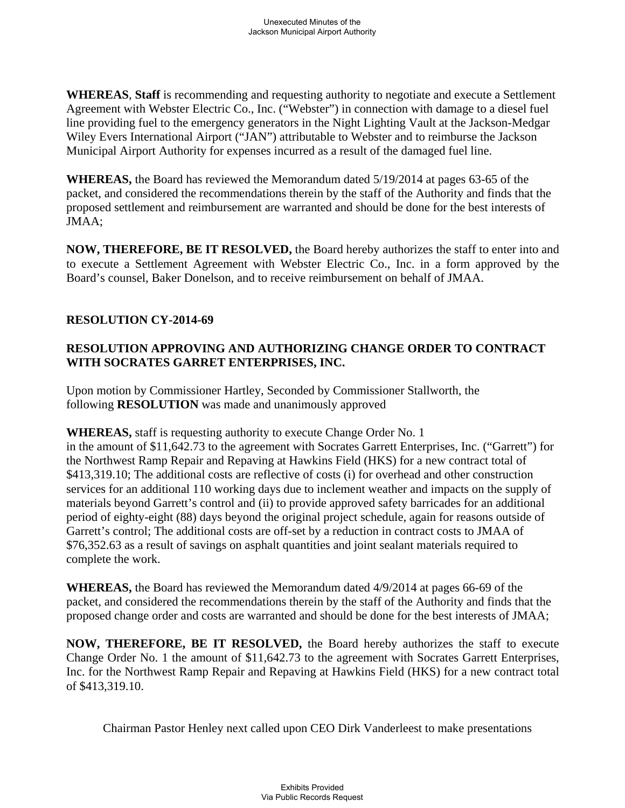**WHEREAS**, **Staff** is recommending and requesting authority to negotiate and execute a Settlement Agreement with Webster Electric Co., Inc. ("Webster") in connection with damage to a diesel fuel line providing fuel to the emergency generators in the Night Lighting Vault at the Jackson-Medgar Wiley Evers International Airport ("JAN") attributable to Webster and to reimburse the Jackson Municipal Airport Authority for expenses incurred as a result of the damaged fuel line.

**WHEREAS,** the Board has reviewed the Memorandum dated 5/19/2014 at pages 63-65 of the packet, and considered the recommendations therein by the staff of the Authority and finds that the proposed settlement and reimbursement are warranted and should be done for the best interests of JMAA;

**NOW, THEREFORE, BE IT RESOLVED,** the Board hereby authorizes the staff to enter into and to execute a Settlement Agreement with Webster Electric Co., Inc. in a form approved by the Board's counsel, Baker Donelson, and to receive reimbursement on behalf of JMAA.

# **RESOLUTION CY-2014-69**

# **RESOLUTION APPROVING AND AUTHORIZING CHANGE ORDER TO CONTRACT WITH SOCRATES GARRET ENTERPRISES, INC.**

Upon motion by Commissioner Hartley, Seconded by Commissioner Stallworth, the following **RESOLUTION** was made and unanimously approved

**WHEREAS,** staff is requesting authority to execute Change Order No. 1

in the amount of \$11,642.73 to the agreement with Socrates Garrett Enterprises, Inc. ("Garrett") for the Northwest Ramp Repair and Repaving at Hawkins Field (HKS) for a new contract total of \$413,319.10; The additional costs are reflective of costs (i) for overhead and other construction services for an additional 110 working days due to inclement weather and impacts on the supply of materials beyond Garrett's control and (ii) to provide approved safety barricades for an additional period of eighty-eight (88) days beyond the original project schedule, again for reasons outside of Garrett's control; The additional costs are off-set by a reduction in contract costs to JMAA of \$76,352.63 as a result of savings on asphalt quantities and joint sealant materials required to complete the work.

**WHEREAS,** the Board has reviewed the Memorandum dated 4/9/2014 at pages 66-69 of the packet, and considered the recommendations therein by the staff of the Authority and finds that the proposed change order and costs are warranted and should be done for the best interests of JMAA;

**NOW, THEREFORE, BE IT RESOLVED,** the Board hereby authorizes the staff to execute Change Order No. 1 the amount of \$11,642.73 to the agreement with Socrates Garrett Enterprises, Inc. for the Northwest Ramp Repair and Repaving at Hawkins Field (HKS) for a new contract total of \$413,319.10.

Chairman Pastor Henley next called upon CEO Dirk Vanderleest to make presentations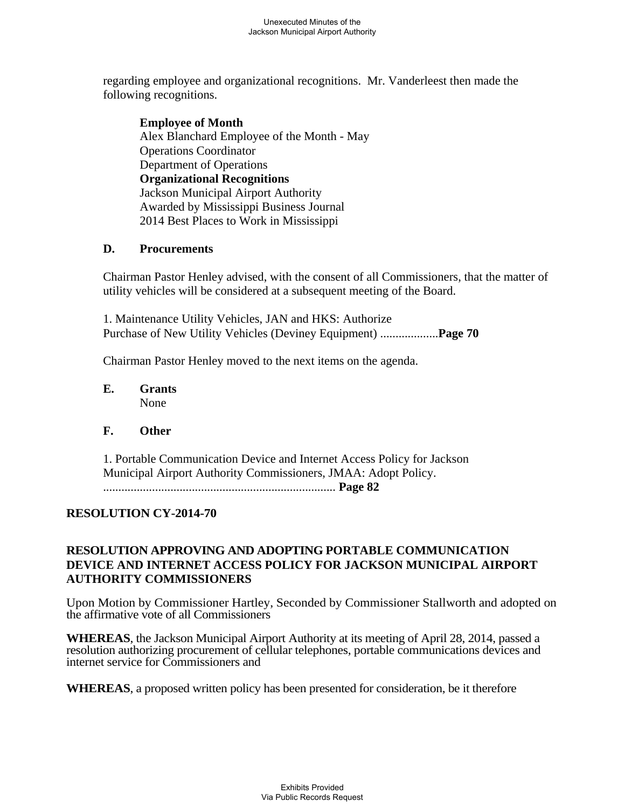regarding employee and organizational recognitions. Mr. Vanderleest then made the following recognitions.

**Employee of Month**  Alex Blanchard Employee of the Month - May Operations Coordinator Department of Operations **Organizational Recognitions**  Jackson Municipal Airport Authority Awarded by Mississippi Business Journal 2014 Best Places to Work in Mississippi

### **D. Procurements**

Chairman Pastor Henley advised, with the consent of all Commissioners, that the matter of utility vehicles will be considered at a subsequent meeting of the Board.

1. Maintenance Utility Vehicles, JAN and HKS: Authorize Purchase of New Utility Vehicles (Deviney Equipment) ...................**Page 70** 

Chairman Pastor Henley moved to the next items on the agenda.

**E. Grants**  None

# **F. Other**

1. Portable Communication Device and Internet Access Policy for Jackson Municipal Airport Authority Commissioners, JMAA: Adopt Policy. ............................................................................ **Page 82**

# **RESOLUTION CY-2014-70**

# **RESOLUTION APPROVING AND ADOPTING PORTABLE COMMUNICATION DEVICE AND INTERNET ACCESS POLICY FOR JACKSON MUNICIPAL AIRPORT AUTHORITY COMMISSIONERS**

Upon Motion by Commissioner Hartley, Seconded by Commissioner Stallworth and adopted on the affirmative vote of all Commissioners

**WHEREAS**, the Jackson Municipal Airport Authority at its meeting of April 28, 2014, passed a resolution authorizing procurement of cellular telephones, portable communications devices and internet service for Commissioners and

**WHEREAS**, a proposed written policy has been presented for consideration, be it therefore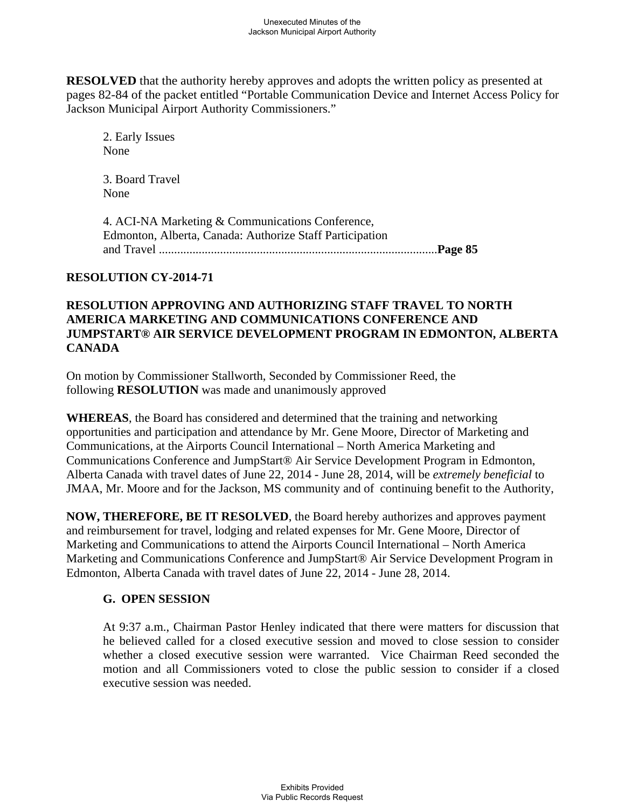**RESOLVED** that the authority hereby approves and adopts the written policy as presented at pages 82-84 of the packet entitled "Portable Communication Device and Internet Access Policy for Jackson Municipal Airport Authority Commissioners."

2. Early Issues None

3. Board Travel None

4. ACI-NA Marketing & Communications Conference, Edmonton, Alberta, Canada: Authorize Staff Participation and Travel ...........................................................................................**Page 85** 

# **RESOLUTION CY-2014-71**

# **RESOLUTION APPROVING AND AUTHORIZING STAFF TRAVEL TO NORTH AMERICA MARKETING AND COMMUNICATIONS CONFERENCE AND JUMPSTART® AIR SERVICE DEVELOPMENT PROGRAM IN EDMONTON, ALBERTA CANADA**

On motion by Commissioner Stallworth, Seconded by Commissioner Reed, the following **RESOLUTION** was made and unanimously approved

**WHEREAS**, the Board has considered and determined that the training and networking opportunities and participation and attendance by Mr. Gene Moore, Director of Marketing and Communications, at the Airports Council International – North America Marketing and Communications Conference and JumpStart® Air Service Development Program in Edmonton, Alberta Canada with travel dates of June 22, 2014 - June 28, 2014, will be *extremely beneficial* to JMAA, Mr. Moore and for the Jackson, MS community and of continuing benefit to the Authority,

**NOW, THEREFORE, BE IT RESOLVED**, the Board hereby authorizes and approves payment and reimbursement for travel, lodging and related expenses for Mr. Gene Moore, Director of Marketing and Communications to attend the Airports Council International – North America Marketing and Communications Conference and JumpStart® Air Service Development Program in Edmonton, Alberta Canada with travel dates of June 22, 2014 - June 28, 2014.

# **G. OPEN SESSION**

At 9:37 a.m., Chairman Pastor Henley indicated that there were matters for discussion that he believed called for a closed executive session and moved to close session to consider whether a closed executive session were warranted. Vice Chairman Reed seconded the motion and all Commissioners voted to close the public session to consider if a closed executive session was needed.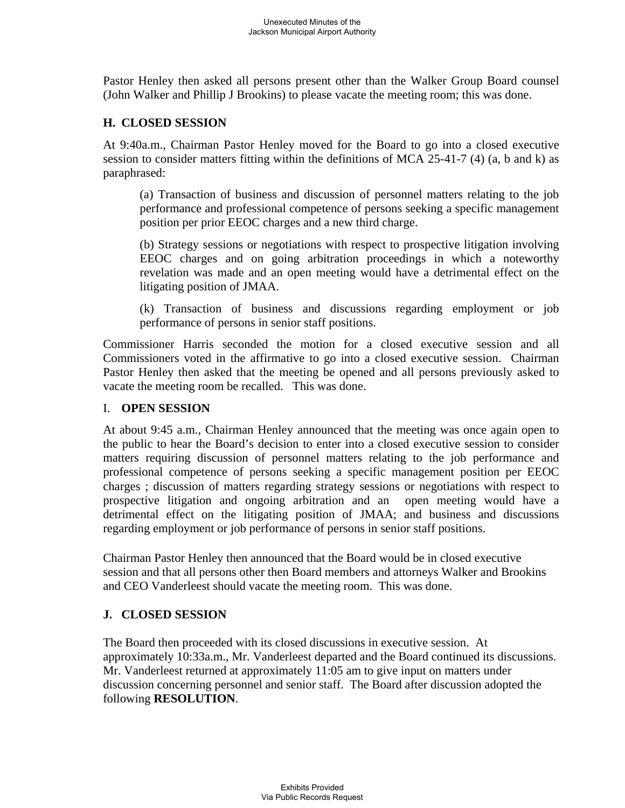Pastor Henley then asked all persons present other than the Walker Group Board counsel (John Walker and Phillip J Brookins) to please vacate the meeting room; this was done.

# **H. CLOSED SESSION**

At 9:40a.m., Chairman Pastor Henley moved for the Board to go into a closed executive session to consider matters fitting within the definitions of MCA 25-41-7 (4) (a, b and k) as paraphrased:

(a) Transaction of business and discussion of personnel matters relating to the job performance and professional competence of persons seeking a specific management position per prior EEOC charges and a new third charge.

(b) Strategy sessions or negotiations with respect to prospective litigation involving EEOC charges and on going arbitration proceedings in which a noteworthy revelation was made and an open meeting would have a detrimental effect on the litigating position of JMAA.

(k) Transaction of business and discussions regarding employment or job performance of persons in senior staff positions.

Commissioner Harris seconded the motion for a closed executive session and all Commissioners voted in the affirmative to go into a closed executive session. Chairman Pastor Henley then asked that the meeting be opened and all persons previously asked to vacate the meeting room be recalled. This was done.

#### I. **OPEN SESSION**

At about 9:45 a.m., Chairman Henley announced that the meeting was once again open to the public to hear the Board's decision to enter into a closed executive session to consider matters requiring discussion of personnel matters relating to the job performance and professional competence of persons seeking a specific management position per EEOC charges ; discussion of matters regarding strategy sessions or negotiations with respect to prospective litigation and ongoing arbitration and an open meeting would have a detrimental effect on the litigating position of JMAA; and business and discussions regarding employment or job performance of persons in senior staff positions.

Chairman Pastor Henley then announced that the Board would be in closed executive session and that all persons other then Board members and attorneys Walker and Brookins and CEO Vanderleest should vacate the meeting room. This was done.

# **J. CLOSED SESSION**

The Board then proceeded with its closed discussions in executive session. At approximately 10:33a.m., Mr. Vanderleest departed and the Board continued its discussions. Mr. Vanderleest returned at approximately 11:05 am to give input on matters under discussion concerning personnel and senior staff. The Board after discussion adopted the following **RESOLUTION**.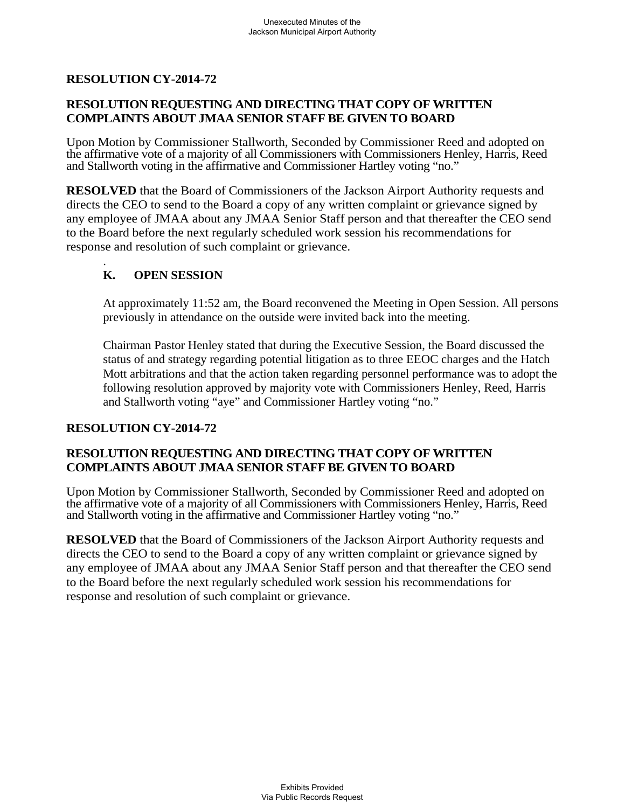# **RESOLUTION CY-2014-72**

### **RESOLUTION REQUESTING AND DIRECTING THAT COPY OF WRITTEN COMPLAINTS ABOUT JMAA SENIOR STAFF BE GIVEN TO BOARD**

Upon Motion by Commissioner Stallworth, Seconded by Commissioner Reed and adopted on the affirmative vote of a majority of all Commissioners with Commissioners Henley, Harris, Reed and Stallworth voting in the affirmative and Commissioner Hartley voting "no."

**RESOLVED** that the Board of Commissioners of the Jackson Airport Authority requests and directs the CEO to send to the Board a copy of any written complaint or grievance signed by any employee of JMAA about any JMAA Senior Staff person and that thereafter the CEO send to the Board before the next regularly scheduled work session his recommendations for response and resolution of such complaint or grievance.

#### . **K. OPEN SESSION**

At approximately 11:52 am, the Board reconvened the Meeting in Open Session. All persons previously in attendance on the outside were invited back into the meeting.

Chairman Pastor Henley stated that during the Executive Session, the Board discussed the status of and strategy regarding potential litigation as to three EEOC charges and the Hatch Mott arbitrations and that the action taken regarding personnel performance was to adopt the following resolution approved by majority vote with Commissioners Henley, Reed, Harris and Stallworth voting "aye" and Commissioner Hartley voting "no."

#### **RESOLUTION CY-2014-72**

# **RESOLUTION REQUESTING AND DIRECTING THAT COPY OF WRITTEN COMPLAINTS ABOUT JMAA SENIOR STAFF BE GIVEN TO BOARD**

Upon Motion by Commissioner Stallworth, Seconded by Commissioner Reed and adopted on the affirmative vote of a majority of all Commissioners with Commissioners Henley, Harris, Reed and Stallworth voting in the affirmative and Commissioner Hartley voting "no."

**RESOLVED** that the Board of Commissioners of the Jackson Airport Authority requests and directs the CEO to send to the Board a copy of any written complaint or grievance signed by any employee of JMAA about any JMAA Senior Staff person and that thereafter the CEO send to the Board before the next regularly scheduled work session his recommendations for response and resolution of such complaint or grievance.